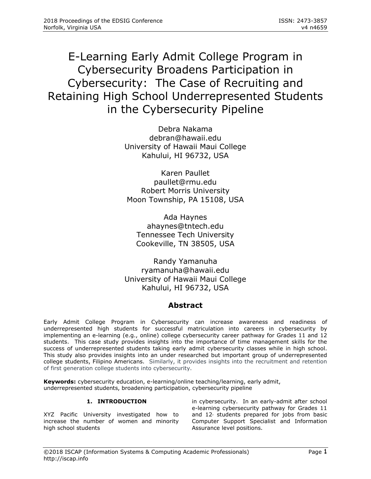# E-Learning Early Admit College Program in Cybersecurity Broadens Participation in Cybersecurity: The Case of Recruiting and Retaining High School Underrepresented Students in the Cybersecurity Pipeline

Debra Nakama [debran@hawaii.edu](mailto:debran@hawaii.edu) University of Hawaii Maui College Kahului, HI 96732, USA

Karen Paullet [paullet@rmu.edu](mailto:paullet@rmu.edu) Robert Morris University Moon Township, PA 15108, USA

Ada Haynes [ahaynes@tntech.edu](mailto:ahaynes@tntech.edu) Tennessee Tech University Cookeville, TN 38505, USA

Randy Yamanuha [ryamanuha@hawaii.edu](mailto:ryamanuha@hawaii.edu) University of Hawaii Maui College Kahului, HI 96732, USA

# **Abstract**

Early Admit College Program in Cybersecurity can increase awareness and readiness of underrepresented high students for successful matriculation into careers in cybersecurity by implementing an e-learning (e.g., online) college cybersecurity career pathway for Grades 11 and 12 students. This case study provides insights into the importance of time management skills for the success of underrepresented students taking early admit cybersecurity classes while in high school. This study also provides insights into an under researched but important group of underrepresented college students, Filipino Americans. Similarly, it provides insights into the recruitment and retention of first generation college students into cybersecurity.

**Keywords:** cybersecurity education, e-learning/online teaching/learning, early admit, underrepresented students, broadening participation, cybersecurity pipeline

# **1. INTRODUCTION**

XYZ Pacific University investigated how to increase the number of women and minority high school students

in cybersecurity. In an early-admit after school e-learning cybersecurity pathway for Grades 11 and  $12<sub>'</sub>$  students prepared for jobs from basic Computer Support Specialist and Information Assurance level positions.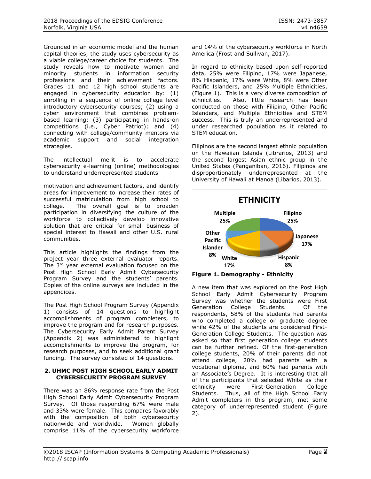Grounded in an economic model and the human capital theories, the study uses cybersecurity as a viable college/career choice for students. The study reveals how to motivate women and minority students in information security professions and their achievement factors. Grades 11 and 12 high school students are engaged in cybersecurity education by: (1) enrolling in a sequence of online college level introductory cybersecurity courses; (2) using a cyber environment that combines problembased learning; (3) participating in hands-on competitions (i.e., Cyber Patriot); and (4) connecting with college/community mentors via academic support and social integration strategies.

The intellectual merit is to accelerate cybersecurity e-learning (online) methodologies to understand underrepresented students

motivation and achievement factors, and identify areas for improvement to increase their rates of successful matriculation from high school to college. The overall goal is to broaden participation in diversifying the culture of the workforce to collectively develop innovative solution that are critical for small business of special interest to Hawaii and other U.S. rural communities.

This article highlights the findings from the project year three external evaluator reports. The 3<sup>rd</sup> year external evaluation focused on the Post High School Early Admit Cybersecurity Program Survey and the students' parents. Copies of the online surveys are included in the appendices.

The Post High School Program Survey (Appendix 1) consists of 14 questions to highlight accomplishments of program completers, to improve the program and for research purposes. The Cybersecurity Early Admit Parent Survey (Appendix 2) was administered to highlight accomplishments to improve the program, for research purposes, and to seek additional grant funding. The survey consisted of 14 questions.

#### **2. UHMC POST HIGH SCHOOL EARLY ADMIT CYBERSECURITY PROGRAM SURVEY**

There was an 86% response rate from the Post High School Early Admit Cybersecurity Program Survey. Of those responding 67% were male and 33% were female. This compares favorably with the composition of both cybersecurity nationwide and worldwide. Women globally comprise 11% of the cybersecurity workforce

and 14% of the cybersecurity workforce in North America (Frost and Sullivan, 2017).

In regard to ethnicity based upon self-reported data, 25% were Filipino, 17% were Japanese, 8% Hispanic, 17% were White, 8% were Other Pacific Islanders, and 25% Multiple Ethnicities, (Figure 1). This is a very diverse composition of ethnicities. Also, little research has been conducted on those with Filipino, Other Pacific Islanders, and Multiple Ethnicities and STEM success. This is truly an underrepresented and under researched population as it related to STEM education.

Filipinos are the second largest ethnic population on the Hawaiian Islands (Librarios, 2013) and the second largest Asian ethnic group in the United States (Panganiban, 2016). Filipinos are disproportionately underrepresented at the University of Hawaii at Manoa (Libarios, 2013).



**Figure 1. Demography - Ethnicity**

A new item that was explored on the Post High School Early Admit Cybersecurity Program Survey was whether the students were First Generation College Students. Of the respondents, 58% of the students had parents who completed a college or graduate degree while 42% of the students are considered First-Generation College Students. The question was asked so that first generation college students can be further refined. Of the first-generation college students, 20% of their parents did not attend college, 20% had parents with a vocational diploma, and 60% had parents with an Associate's Degree. It is interesting that all of the participants that selected White as their ethnicity were First-Generation College Students. Thus, all of the High School Early Admit completers in this program, met some category of underrepresented student (Figure 2).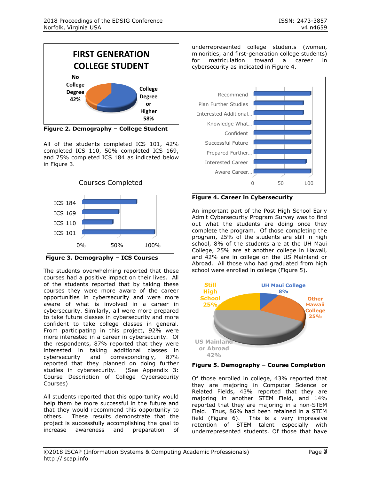

**Figure 2. Demography – College Student**

All of the students completed ICS 101, 42% completed ICS 110, 50% completed ICS 169, and 75% completed ICS 184 as indicated below in Figure 3.



**Figure 3. Demography – ICS Courses**

The students overwhelming reported that these courses had a positive impact on their lives. All of the students reported that by taking these courses they were more aware of the career opportunities in cybersecurity and were more aware of what is involved in a career in cybersecurity. Similarly, all were more prepared to take future classes in cybersecurity and more confident to take college classes in general. From participating in this project, 92% were more interested in a career in cybersecurity. Of the respondents, 87% reported that they were interested in taking additional classes in cybersecurity and correspondingly, 87% reported that they planned on doing further studies in cybersecurity. (See Appendix 3: Course Description of College Cybersecurity Courses)

All students reported that this opportunity would help them be more successful in the future and that they would recommend this opportunity to others. These results demonstrate that the project is successfully accomplishing the goal to increase awareness and preparation of underrepresented college students (women, minorities, and first-generation college students) for matriculation toward a career in cybersecurity as indicated in Figure 4.



**Figure 4. Career in Cybersecurity**

An important part of the Post High School Early Admit Cybersecurity Program Survey was to find out what the students are doing once they complete the program. Of those completing the program, 25% of the students are still in high school, 8% of the students are at the UH Maui College, 25% are at another college in Hawaii, and 42% are in college on the US Mainland or Abroad. All those who had graduated from high school were enrolled in college (Figure 5).



**Figure 5. Demography – Course Completion**

Of those enrolled in college, 43% reported that they are majoring in Computer Science or Related Fields, 43% reported that they are majoring in another STEM Field, and 14% reported that they are majoring in a non-STEM Field. Thus, 86% had been retained in a STEM field (Figure 6). This is a very impressive retention of STEM talent especially with underrepresented students. Of those that have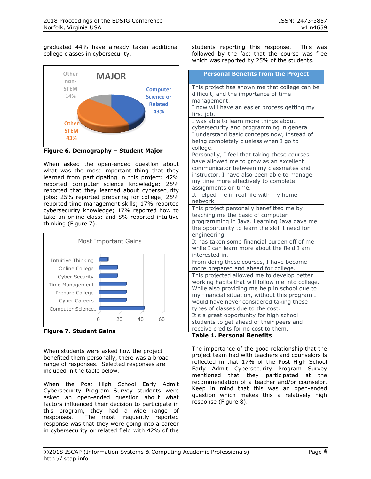graduated 44% have already taken additional college classes in cybersecurity.



**Figure 6. Demography – Student Major**

When asked the open-ended question about what was the most important thing that they learned from participating in this project: 42% reported computer science knowledge; 25% reported that they learned about cybersecurity jobs; 25% reported preparing for college; 25% reported time management skills; 17% reported cybersecurity knowledge; 17% reported how to take an online class; and 8% reported intuitive thinking (Figure 7).



**Figure 7. Student Gains**

When students were asked how the project benefited them personally, there was a broad range of responses. Selected responses are included in the table below.

When the Post High School Early Admit Cybersecurity Program Survey students were asked an open-ended question about what factors influenced their decision to participate in this program, they had a wide range of responses. The most frequently reported response was that they were going into a career in cybersecurity or related field with 42% of the students reporting this response. This was followed by the fact that the course was free which was reported by 25% of the students.

| <b>Personal Benefits from the Project</b>                                                                                                                                                                                                                                           |
|-------------------------------------------------------------------------------------------------------------------------------------------------------------------------------------------------------------------------------------------------------------------------------------|
| This project has shown me that college can be<br>difficult, and the importance of time<br>management.                                                                                                                                                                               |
| I now will have an easier process getting my<br>first job.                                                                                                                                                                                                                          |
| I was able to learn more things about<br>cybersecurity and programming in general                                                                                                                                                                                                   |
| I understand basic concepts now, instead of<br>being completely clueless when I go to<br>college.                                                                                                                                                                                   |
| Personally, I feel that taking these courses<br>have allowed me to grow as an excellent<br>communicator between my classmates and<br>instructor. I have also been able to manage<br>my time more effectively to complete<br>assignments on time.                                    |
| It helped me in real life with my home<br>network                                                                                                                                                                                                                                   |
| This project personally benefitted me by<br>teaching me the basic of computer<br>programming in Java. Learning Java gave me<br>the opportunity to learn the skill I need for<br>engineering.                                                                                        |
| It has taken some financial burden off of me<br>while I can learn more about the field I am<br>interested in.                                                                                                                                                                       |
| From doing these courses, I have become<br>more prepared and ahead for college.                                                                                                                                                                                                     |
| This projected allowed me to develop better<br>working habits that will follow me into college.<br>While also providing me help in school due to<br>my financial situation, without this program I<br>would have never considered taking these<br>types of classes due to the cost. |
| It's a great opportunity for high school<br>students to get ahead of their peers and<br>receive credits for no cost to them.<br>Table 1 Devenual De<br>£W.                                                                                                                          |

**Table 1. Personal Benefits**

The importance of the good relationship that the project team had with teachers and counselors is reflected in that 17% of the Post High School Early Admit Cybersecurity Program Survey mentioned that they participated at the recommendation of a teacher and/or counselor. Keep in mind that this was an open-ended question which makes this a relatively high response (Figure 8).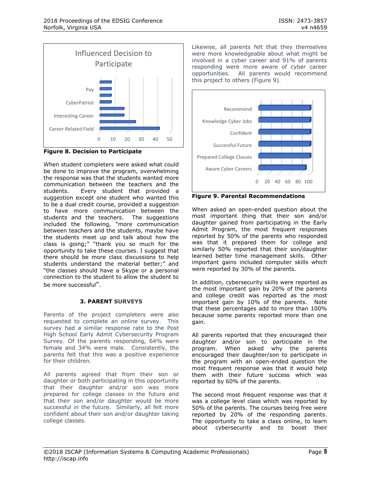

**Figure 8. Decision to Participate**

When student completers were asked what could be done to improve the program, overwhelming the response was that the students wanted more communication between the teachers and the students. Every student that provided a suggestion except one student who wanted this to be a dual credit course, provided a suggestion to have more communication between the students and the teachers. The suggestions included the following, "more communication between teachers and the students, maybe have the students meet up and talk about how the class is going;" "thank you so much for the opportunity to take these courses. I suggest that there should be more class discussions to help students understand the material better;" and "the classes should have a Skype or a personal connection to the student to allow the student to be more successful".

## **3. PARENT SURVEYS**

Parents of the project completers were also requested to complete an online survey. This survey had a similar response rate to the Post High School Early Admit Cybersecurity Program Survey. Of the parents responding, 64% were female and 34% were male. Consistently, the parents felt that this was a positive experience for their children.

All parents agreed that from their son or daughter or both participating in this opportunity that their daughter and/or son was more prepared for college classes in the future and that their son and/or daughter would be more successful in the future. Similarly, all felt more confident about their son and/or daughter taking college classes.

Likewise, all parents felt that they themselves were more knowledgeable about what might be involved in a cyber career and 91% of parents responding were more aware of cyber career opportunities. All parents would recommend this project to others (Figure 9).



**Figure 9. Parental Recommendations**

When asked an open-ended question about the most important thing that their son and/or daughter gained from participating in the Early Admit Program, the most frequent responses reported by 50% of the parents who responded was that it prepared them for college and similarly 50% reported that their son/daughter learned better time management skills. Other important gains included computer skills which were reported by 30% of the parents.

In addition, cybersecurity skills were reported as the most important gain by 20% of the parents and college credit was reported as the most important gain by 10% of the parents. Note that these percentages add to more than 100% because some parents reported more than one gain.

All parents reported that they encouraged their daughter and/or son to participate in the program. When asked why the parents encouraged their daughter/son to participate in the program with an open-ended question the most frequent response was that it would help them with their future success which was reported by 60% of the parents.

The second most frequent response was that it was a college level class which was reported by 50% of the parents. The courses being free were reported by 20% of the responding parents. The opportunity to take a class online, to learn about cybersecurity and to boost their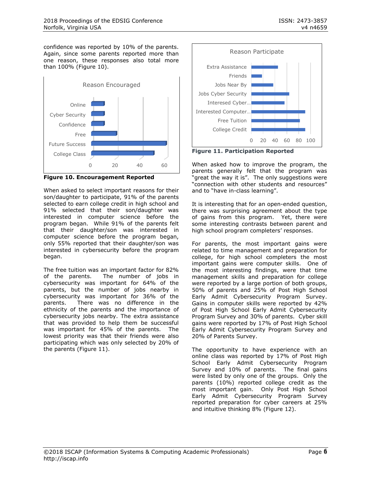confidence was reported by 10% of the parents. Again, since some parents reported more than one reason, these responses also total more than 100% (Figure 10).



**Figure 10. Encouragement Reported**

When asked to select important reasons for their son/daughter to participate, 91% of the parents selected to earn college credit in high school and 91% selected that their son/daughter was interested in computer science before the program began. While 91% of the parents felt that their daughter/son was interested in computer science before the program began, only 55% reported that their daughter/son was interested in cybersecurity before the program began.

The free tuition was an important factor for 82% of the parents. The number of jobs in cybersecurity was important for 64% of the parents, but the number of jobs nearby in cybersecurity was important for 36% of the parents. There was no difference in the ethnicity of the parents and the importance of cybersecurity jobs nearby. The extra assistance that was provided to help them be successful was important for 45% of the parents. The lowest priority was that their friends were also participating which was only selected by 20% of the parents (Figure 11).



**Figure 11. Participation Reported**

When asked how to improve the program, the parents generally felt that the program was "great the way it is". The only suggestions were "connection with other students and resources" and to "have in-class learning".

It is interesting that for an open-ended question, there was surprising agreement about the type of gains from this program. Yet, there were some interesting contrasts between parent and high school program completers' responses.

For parents, the most important gains were related to time management and preparation for college, for high school completers the most important gains were computer skills. One of the most interesting findings, were that time management skills and preparation for college were reported by a large portion of both groups, 50% of parents and 25% of Post High School Early Admit Cybersecurity Program Survey. Gains in computer skills were reported by 42% of Post High School Early Admit Cybersecurity Program Survey and 30% of parents. Cyber skill gains were reported by 17% of Post High School Early Admit Cybersecurity Program Survey and 20% of Parents Survey.

The opportunity to have experience with an online class was reported by 17% of Post High School Early Admit Cybersecurity Program Survey and 10% of parents. The final gains were listed by only one of the groups. Only the parents (10%) reported college credit as the most important gain. Only Post High School Early Admit Cybersecurity Program Survey reported preparation for cyber careers at 25% and intuitive thinking 8% (Figure 12).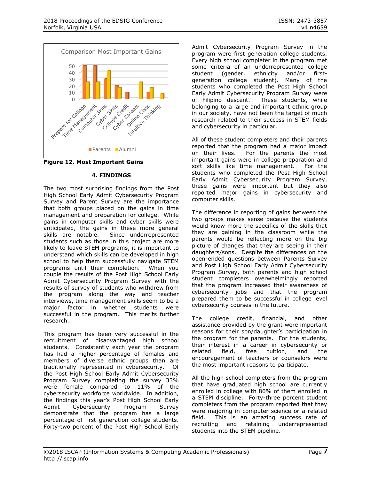



#### **4. FINDINGS**

The two most surprising findings from the Post High School Early Admit Cybersecurity Program Survey and Parent Survey are the importance that both groups placed on the gains in time management and preparation for college. While gains in computer skills and cyber skills were anticipated, the gains in these more general skills are notable. Since underrepresented students such as those in this project are more likely to leave STEM programs, it is important to understand which skills can be developed in high school to help them successfully navigate STEM programs until their completion. When you couple the results of the Post High School Early Admit Cybersecurity Program Survey with the results of survey of students who withdrew from the program along the way and teacher interviews, time management skills seem to be a major factor in whether students were successful in the program. This merits further research.

This program has been very successful in the recruitment of disadvantaged high school students. Consistently each year the program has had a higher percentage of females and members of diverse ethnic groups than are traditionally represented in cybersecurity. Of the Post High School Early Admit Cybersecurity Program Survey completing the survey 33% were female compared to 11% of the cybersecurity workforce worldwide. In addition, the findings this year's Post High School Early Admit Cybersecurity Program Survey demonstrate that the program has a large percentage of first generation college students. Forty-two percent of the Post High School Early Admit Cybersecurity Program Survey in the program were first generation college students. Every high school completer in the program met some criteria of an underrepresented college student (gender, ethnicity and/or firstgeneration college student). Many of the students who completed the Post High School Early Admit Cybersecurity Program Survey were of Filipino descent. These students, while belonging to a large and important ethnic group in our society, have not been the target of much research related to their success in STEM fields and cybersecurity in particular.

All of these student completers and their parents reported that the program had a major impact on their lives. For the parents the most important gains were in college preparation and soft skills like time management. For the students who completed the Post High School Early Admit Cybersecurity Program Survey, these gains were important but they also reported major gains in cybersecurity and computer skills.

The difference in reporting of gains between the two groups makes sense because the students would know more the specifics of the skills that they are gaining in the classroom while the parents would be reflecting more on the big picture of changes that they are seeing in their daughters/sons. Despite the differences on the open-ended questions between Parents Survey and Post High School Early Admit Cybersecurity Program Survey, both parents and high school student completers overwhelmingly reported that the program increased their awareness of cybersecurity jobs and that the program prepared them to be successful in college level cybersecurity courses in the future.

The college credit, financial, and other assistance provided by the grant were important reasons for their son/daughter's participation in the program for the parents. For the students, their interest in a career in cybersecurity or related field, free tuition, and the encouragement of teachers or counselors were the most important reasons to participate.

All the high school completers from the program that have graduated high school are currently enrolled in college with 86% of them enrolled in a STEM discipline. Forty-three percent student completers from the program reported that they were majoring in computer science or a related field. This is an amazing success rate of recruiting and retaining underrepresented students into the STEM pipeline.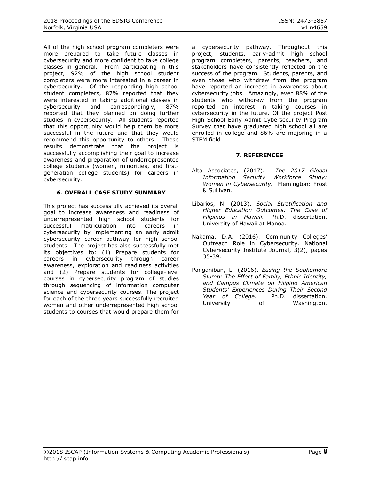All of the high school program completers were more prepared to take future classes in cybersecurity and more confident to take college classes in general. From participating in this project, 92% of the high school student completers were more interested in a career in cybersecurity. Of the responding high school student completers, 87% reported that they were interested in taking additional classes in cybersecurity and correspondingly, 87% reported that they planned on doing further studies in cybersecurity. All students reported that this opportunity would help them be more successful in the future and that they would recommend this opportunity to others. These results demonstrate that the project is successfully accomplishing their goal to increase awareness and preparation of underrepresented college students (women, minorities, and firstgeneration college students) for careers in cybersecurity.

#### **6. OVERALL CASE STUDY SUMMARY**

This project has successfully achieved its overall goal to increase awareness and readiness of underrepresented high school students for successful matriculation into careers in cybersecurity by implementing an early admit cybersecurity career pathway for high school students. The project has also successfully met its objectives to: (1) Prepare students for careers in cybersecurity through career awareness, exploration and readiness activities and (2) Prepare students for college-level courses in cybersecurity program of studies through sequencing of information computer science and cybersecurity courses. The project for each of the three years successfully recruited women and other underrepresented high school students to courses that would prepare them for

a cybersecurity pathway. Throughout this project, students, early-admit high school program completers, parents, teachers, and stakeholders have consistently reflected on the success of the program. Students, parents, and even those who withdrew from the program have reported an increase in awareness about cybersecurity jobs. Amazingly, even 88% of the students who withdrew from the program reported an interest in taking courses in cybersecurity in the future. Of the project Post High School Early Admit Cybersecurity Program Survey that have graduated high school all are enrolled in college and 86% are majoring in a STEM field.

## **7. REFERENCES**

- Alta Associates, (2017). *The 2017 Global Information Security Workforce Study: Women in Cybersecurity.* Flemington: Frost & Sullivan.
- Libarios, N. (2013). *Social Stratification and Higher Education Outcomes: The Case of Filipinos in Hawaii.* Ph.D. dissertation. University of Hawaii at Manoa.
- Nakama, D.A. (2016). Community Colleges' Outreach Role in Cybersecurity. National Cybersecurity Institute Journal, 3(2), pages 35-39.
- Panganiban, L. (2016). *Easing the Sophomore Slump: The Effect of Family, Ethnic Identity, and Campus Climate on Filipino American Students' Experiences During Their Second*  Ph.D. dissertation. University of Washington.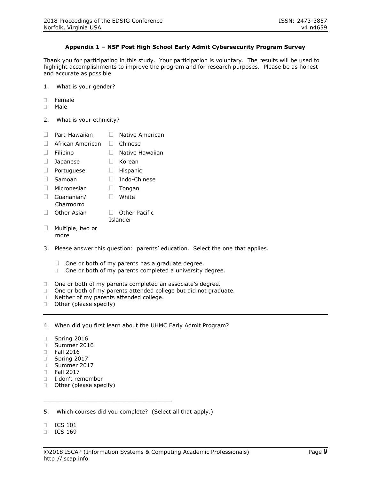#### **Appendix 1 – NSF Post High School Early Admit Cybersecurity Program Survey**

Thank you for participating in this study. Your participation is voluntary. The results will be used to highlight accomplishments to improve the program and for research purposes. Please be as honest and accurate as possible.

- 1. What is your gender?
- $\Box$  Female
- Male
- 2. What is your ethnicity?
- $\Box$  Part-Hawaiian  $\Box$  Native American
- □ African American □ Chinese
- □ Filipino □ Native Hawaiian
- $\Box$  Japanese  $\Box$  Korean
- $\Box$  Portuguese  $\Box$  Hispanic
- □ Samoan □ Indo-Chinese
- $\Box$  Micronesian  $\Box$  Tongan
- Guananian/ 
<sub>U</sub> White
- Charmorro □ Other Asian □ Other Pacific Islander
- $\Box$  Multiple, two or more
- 3. Please answer this question: parents' education. Select the one that applies.
	- $\Box$  One or both of my parents has a graduate degree.
	- $\Box$  One or both of my parents completed a university degree.
- □ One or both of my parents completed an associate's degree.
- $\Box$  One or both of my parents attended college but did not graduate.
- D Neither of my parents attended college.
- □ Other (please specify)

4. When did you first learn about the UHMC Early Admit Program?

- Spring 2016
- Summer 2016
- Fall 2016
- □ Spring 2017
- □ Summer 2017
- $\Box$  Fall 2017
- I don't remember
- □ Other (please specify)

5. Which courses did you complete? (Select all that apply.)

\_\_\_\_\_\_\_\_\_\_\_\_\_\_\_\_\_\_\_\_\_\_\_\_\_\_\_\_\_\_\_\_\_\_\_\_\_

- **ICS 101**
- **ICS 169**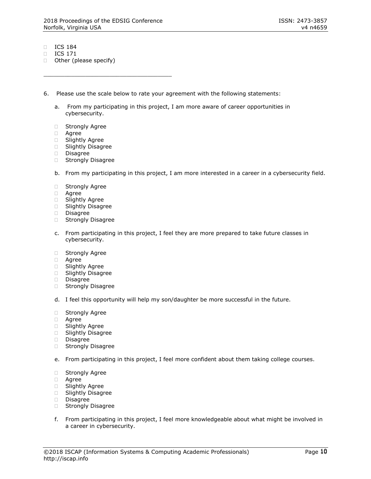\_\_\_\_\_\_\_\_\_\_\_\_\_\_\_\_\_\_\_\_\_\_\_\_\_\_\_\_\_\_\_\_\_\_\_\_\_

- **ICS 184**
- ICS 171
- $\Box$  Other (please specify)
- 6. Please use the scale below to rate your agreement with the following statements:
	- a. From my participating in this project, I am more aware of career opportunities in cybersecurity.
	- □ Strongly Agree
	- Agree
	- Slightly Agree
	- □ Slightly Disagree
	- Disagree
	- □ Strongly Disagree
	- b. From my participating in this project, I am more interested in a career in a cybersecurity field.
	- □ Strongly Agree
	- Agree
	- □ Slightly Agree
	- **Slightly Disagree**
	- Disagree
	- □ Strongly Disagree
	- c. From participating in this project, I feel they are more prepared to take future classes in cybersecurity.
	- **Strongly Agree**
	- Agree
	- □ Slightly Agree
	- □ Slightly Disagree
	- Disagree
	- □ Strongly Disagree
	- d. I feel this opportunity will help my son/daughter be more successful in the future.
	- Strongly Agree
	- Agree
	- **Slightly Agree**
	- **Slightly Disagree**
	- Disagree
	- □ Strongly Disagree
	- e. From participating in this project, I feel more confident about them taking college courses.
	- **Strongly Agree**
	- Agree
	- □ Slightly Agree
	- □ Slightly Disagree
	- Disagree
	- Strongly Disagree
	- f. From participating in this project, I feel more knowledgeable about what might be involved in a career in cybersecurity.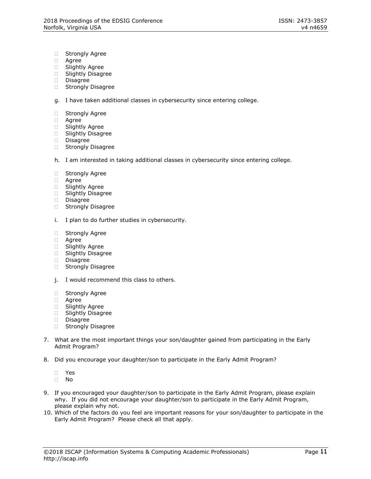- □ Strongly Agree
- Agree
- Slightly Agree
- □ Slightly Disagree
- Disagree
- □ Strongly Disagree

g. I have taken additional classes in cybersecurity since entering college.

- □ Strongly Agree
- Agree
- **Slightly Agree**
- □ Slightly Disagree
- Disagree
- □ Strongly Disagree
- h. I am interested in taking additional classes in cybersecurity since entering college.
- □ Strongly Agree
- Agree
- □ Slightly Agree
- **Slightly Disagree**
- Disagree
- □ Strongly Disagree
- i. I plan to do further studies in cybersecurity.
- □ Strongly Agree
- Agree
- □ Slightly Agree
- □ Slightly Disagree
- Disagree
- □ Strongly Disagree
- j. I would recommend this class to others.
- □ Strongly Agree
- Agree
- Slightly Agree
- □ Slightly Disagree
- Disagree
- Strongly Disagree
- 7. What are the most important things your son/daughter gained from participating in the Early Admit Program?
- 8. Did you encourage your daughter/son to participate in the Early Admit Program?
	- Yes
	- No
- 9. If you encouraged your daughter/son to participate in the Early Admit Program, please explain why. If you did not encourage your daughter/son to participate in the Early Admit Program, please explain why not.
- 10. Which of the factors do you feel are important reasons for your son/daughter to participate in the Early Admit Program? Please check all that apply.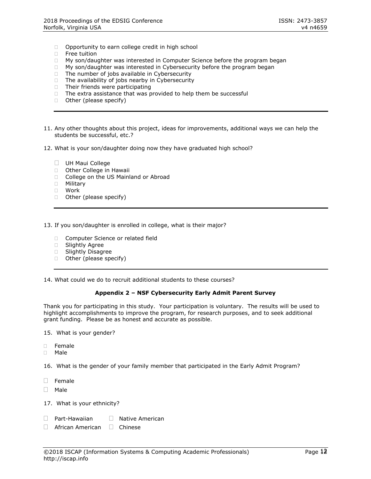- Opportunity to earn college credit in high school
- □ Free tuition
- □ My son/daughter was interested in Computer Science before the program began
- □ My son/daughter was interested in Cybersecurity before the program began
- $\Box$  The number of jobs available in Cybersecurity
- $\Box$  The availability of jobs nearby in Cybersecurity
- $\Box$  Their friends were participating
- $\Box$  The extra assistance that was provided to help them be successful
- □ Other (please specify)
- 11. Any other thoughts about this project, ideas for improvements, additional ways we can help the students be successful, etc.?
- 12. What is your son/daughter doing now they have graduated high school?
	- **UH Maui College**
	- □ Other College in Hawaii
	- □ College on the US Mainland or Abroad
	- Military
	- Work
	- □ Other (please specify)
- 13. If you son/daughter is enrolled in college, what is their major?
	- □ Computer Science or related field
	- □ Slightly Agree
	- **Slightly Disagree**
	- $\Box$  Other (please specify)

14. What could we do to recruit additional students to these courses?

#### **Appendix 2 – NSF Cybersecurity Early Admit Parent Survey**

Thank you for participating in this study. Your participation is voluntary. The results will be used to highlight accomplishments to improve the program, for research purposes, and to seek additional grant funding. Please be as honest and accurate as possible.

15. What is your gender?

- Female
- Male

16. What is the gender of your family member that participated in the Early Admit Program?

- $\Box$  Female
- $\Box$  Male
- 17. What is your ethnicity?
- $\Box$  Part-Hawaiian  $\Box$  Native American
- $\Box$  African American  $\Box$  Chinese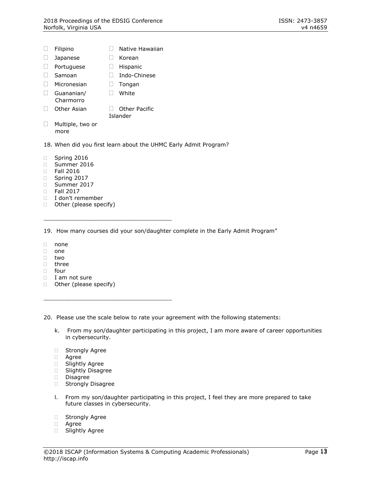- $\Box$  Filipino  $\Box$  Native Hawaiian
- Japanese Korean
- D Portuguese D Hispanic
- □ Samoan □ Indo-Chinese
- $\Box$  Micronesian  $\Box$  Tongan
- Guananian/ **I** White
- Charmorro  $\Box$  Other Asian  $\Box$  Other Pacific Islander
- □ Multiple, two or more
- 18. When did you first learn about the UHMC Early Admit Program?
- □ Spring 2016
- Summer 2016
- Fall 2016
- $\Box$  Spring 2017
- □ Summer 2017
- Fall 2017
- I don't remember
- □ Other (please specify)

\_\_\_\_\_\_\_\_\_\_\_\_\_\_\_\_\_\_\_\_\_\_\_\_\_\_\_\_\_\_\_\_\_\_\_\_\_

\_\_\_\_\_\_\_\_\_\_\_\_\_\_\_\_\_\_\_\_\_\_\_\_\_\_\_\_\_\_\_\_\_\_\_\_\_

19. How many courses did your son/daughter complete in the Early Admit Program"

- none
- $\Box$  one
- two
- □ three
- □ four
- I am not sure
- □ Other (please specify)

20. Please use the scale below to rate your agreement with the following statements:

- k. From my son/daughter participating in this project, I am more aware of career opportunities in cybersecurity.
- **Strongly Agree**
- Agree
- □ Slightly Agree
- □ Slightly Disagree
- Disagree
- □ Strongly Disagree
- l. From my son/daughter participating in this project, I feel they are more prepared to take future classes in cybersecurity.
- □ Strongly Agree
- Agree
- □ Slightly Agree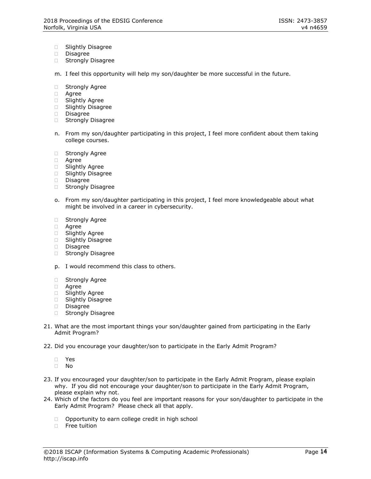- □ Slightly Disagree
- Disagree
- □ Strongly Disagree
- m. I feel this opportunity will help my son/daughter be more successful in the future.
- □ Strongly Agree
- Agree
- □ Slightly Agree
- □ Slightly Disagree
- Disagree
- Strongly Disagree
- n. From my son/daughter participating in this project, I feel more confident about them taking college courses.
- Strongly Agree
- Agree
- □ Slightly Agree
- □ Slightly Disagree
- Disagree
- □ Strongly Disagree
- o. From my son/daughter participating in this project, I feel more knowledgeable about what might be involved in a career in cybersecurity.
- **Strongly Agree**
- Agree
- Slightly Agree
- Slightly Disagree
- Disagree
- □ Strongly Disagree
- p. I would recommend this class to others.
- **Strongly Agree**
- Agree
- Slightly Agree
- Slightly Disagree
- Disagree
- □ Strongly Disagree
- 21. What are the most important things your son/daughter gained from participating in the Early Admit Program?
- 22. Did you encourage your daughter/son to participate in the Early Admit Program?
	- Yes
	- No
- 23. If you encouraged your daughter/son to participate in the Early Admit Program, please explain why. If you did not encourage your daughter/son to participate in the Early Admit Program, please explain why not.
- 24. Which of the factors do you feel are important reasons for your son/daughter to participate in the Early Admit Program? Please check all that apply.
	- □ Opportunity to earn college credit in high school
	- □ Free tuition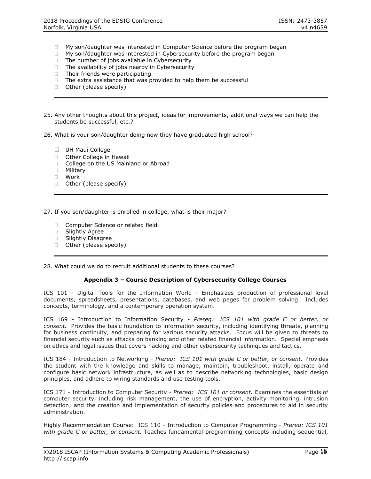- □ My son/daughter was interested in Computer Science before the program began
- $\Box$  My son/daughter was interested in Cybersecurity before the program began
- $\Box$  The number of jobs available in Cybersecurity
- $\Box$  The availability of jobs nearby in Cybersecurity
- $\Box$  Their friends were participating
- $\Box$  The extra assistance that was provided to help them be successful
- □ Other (please specify)
- 25. Any other thoughts about this project, ideas for improvements, additional ways we can help the students be successful, etc.?
- 26. What is your son/daughter doing now they have graduated high school?
	- **UH Maui College**
	- □ Other College in Hawaii
	- □ College on the US Mainland or Abroad
	- Military
	- Work
	- □ Other (please specify)

27. If you son/daughter is enrolled in college, what is their major?

- □ Computer Science or related field
- □ Slightly Agree
- **Slightly Disagree**
- $\Box$  Other (please specify)

28. What could we do to recruit additional students to these courses?

#### **Appendix 3 – Course Description of Cybersecurity College Courses**

ICS 101 - Digital Tools for the Information World - Emphasizes production of professional level documents, spreadsheets, presentations, databases, and web pages for problem solving. Includes concepts, terminology, and a contemporary operation system.

ICS 169 - Introduction to Information Security - *Prereq: ICS 101 with grade C or better, or consent.* Provides the basic foundation to information security, including identifying threats, planning for business continuity, and preparing for various security attacks. Focus will be given to threats to financial security such as attacks on banking and other related financial information. Special emphasis on ethics and legal issues that covers hacking and other cybersecurity techniques and tactics.

ICS 184 - Introduction to Networking - *Prereq: ICS 101 with grade C or better, or consent.* Provides the student with the knowledge and skills to manage, maintain, troubleshoot, install, operate and configure basic network infrastructure, as well as to describe networking technologies, basic design principles, and adhere to wiring standards and use testing tools.

ICS 171 - Introduction to Computer Security - *Prereq: ICS 101 or consent.* Examines the essentials of computer security, including risk management, the use of encryption, activity monitoring, intrusion detection; and the creation and implementation of security policies and procedures to aid in security administration.

Highly Recommendation Course: ICS 110 - Introduction to Computer Programming - *Prereq: ICS 101 with grade C or better, or consent.* Teaches fundamental programming concepts including sequential,